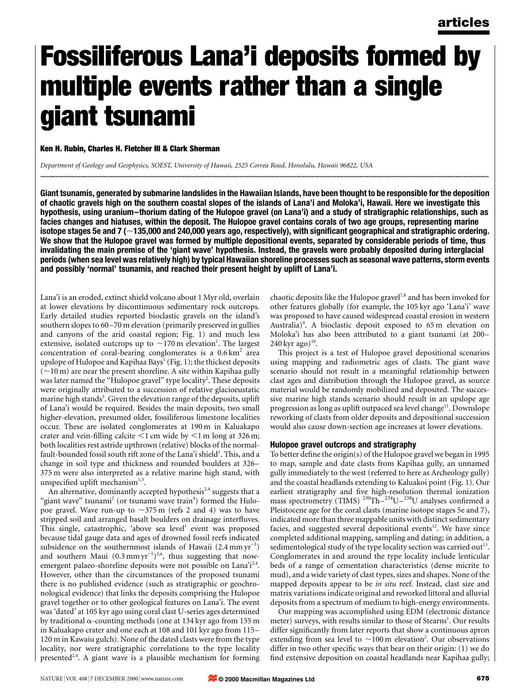# Fossiliferous Lana'i deposits formed by multiple events rather than a single giant tsunami

Ken H. Rubin, Charles H. Fletcher III & Clark Sherman

Department of Geology and Geophysics, SOEST, University of Hawaii, 2525 Correa Road, Honolulu, Hawaii 96822, USA

Giant tsunamis, generated by submarine landslides in the Hawaiian Islands, have been thought to be responsible for the deposition of chaotic gravels high on the southern coastal slopes of the islands of Lana'i and Moloka'i, Hawaii. Here we investigate this hypothesis, using uranium-thorium dating of the Hulopoe gravel (on Lana'i) and a study of stratigraphic relationships, such as facies changes and hiatuses, within the deposit. The Hulopoe gravel contains corals of two age groups, representing marine isotope stages 5e and 7 ( $\sim$ 135,000 and 240,000 years ago, respectively), with significant geographical and stratigraphic ordering. We show that the Hulopoe gravel was formed by multiple depositional events, separated by considerable periods of time, thus invalidating the main premise of the `giant wave' hypothesis. Instead, the gravels were probably deposited during interglacial periods (when sea level was relatively high) by typical Hawaiian shoreline processes such as seasonal wave patterns, storm events and possibly 'normal' tsunamis, and reached their present height by uplift of Lana'i.

............................................................................................................................................................................................................................................................................

Lana'i is an eroded, extinct shield volcano about 1 Myr old, overlain at lower elevations by discontinuous sedimentary rock outcrops. Early detailed studies reported bioclastic gravels on the island's southern slopes to 60–70 m elevation (primarily preserved in gullies and canyons of the arid coastal region; Fig. 1) and much less extensive, isolated outcrops up to  $\sim$ 170 m elevation<sup>1</sup>. The largest concentration of coral-bearing conglomerates is a  $0.6 \text{ km}^2$  area upslope of Hulopoe and Kapihaa Bays<sup>1</sup> (Fig. 1); the thickest deposits  $(-10 \text{ m})$  are near the present shoreline. A site within Kapihaa gully was later named the "Hulopoe gravel" type locality<sup>2</sup>. These deposits were originally attributed to a succession of relative glacioeustatic marine high stands<sup>3</sup>. Given the elevation range of the deposits, uplift of Lana'i would be required. Besides the main deposits, two small higher-elevation, presumed older, fossiliferous limestone localities occur. These are isolated conglomerates at 190 m in Kaluakapo crater and vein-filling calcite  $\leq 1$  cm wide by  $\leq 1$  m long at 326 m; both localities rest astride upthrown (relative) blocks of the normalfault-bounded fossil south rift zone of the Lana'i shield<sup>1</sup>. This, and a change in soil type and thickness and rounded boulders at 326– 375 m were also interpreted as a relative marine high stand, with unspecified uplift mechanism $1,3$ .

An alternative, dominantly accepted hypothesis<sup>2,4</sup> suggests that a "giant wave" tsunami<sup>2</sup> (or tsunami wave train<sup>4</sup>) formed the Hulopoe gravel. Wave run-up to  $\sim$ 375 m (refs 2 and 4) was to have stripped soil and arranged basalt boulders on drainage interfluves. This single, catastrophic, `above sea level' event was proposed because tidal gauge data and ages of drowned fossil reefs indicated subsidence on the southernmost islands of Hawaii  $(2.4 \text{ mm yr}^{-1})$ and southern Maui  $(0.3 \text{ mm yr}^{-1})^{5,6}$ , thus suggesting that nowemergent palaeo-shoreline deposits were not possible on Lana'i<sup>2,4</sup>. However, other than the circumstances of the proposed tsunami there is no published evidence (such as stratigraphic or geochronological evidence) that links the deposits comprising the Hulopoe gravel together or to other geological features on Lana'i. The event was `dated' at 105 kyr ago using coral clast U-series ages determined by traditional  $\alpha$ -counting methods (one at 134 kyr ago from 155 m in Kaluakapo crater and one each at 108 and 101 kyr ago from 115-120 m in Kawaiu gulch). None of the dated clasts were from the type locality, nor were stratigraphic correlations to the type locality presented<sup>2,4</sup>. A giant wave is a plausible mechanism for forming chaotic deposits like the Hulopoe gravel<sup>7,8</sup> and has been invoked for other features globally (for example, the 105 kyr ago `Lana'i' wave was proposed to have caused widespread coastal erosion in western Australia)<sup>9</sup>. A bioclastic deposit exposed to 65 m elevation on Moloka'i has also been attributed to a giant tsunami (at 200–  $240 \,\text{kyr}$  ago)<sup>10</sup>.

This project is a test of Hulopoe gravel depositional scenarios using mapping and radiometric ages of clasts. The giant wave scenario should not result in a meaningful relationship between clast ages and distribution through the Hulopoe gravel, as source material would be randomly mobilized and deposited. The successive marine high stands scenario should result in an upslope age progression as long as uplift outpaced sea level change<sup>11</sup>. Downslope reworking of clasts from older deposits and depositional succession would also cause down-section age increases at lower elevations.

#### Hulopoe gravel outcrops and stratigraphy

To better define the origin(s) of the Hulopoe gravel we began in 1995 to map, sample and date clasts from Kapihaa gully, an unnamed gully immediately to the west (referred to here as Archeology gully) and the coastal headlands extending to Kaluakoi point (Fig. 1). Our earliest stratigraphy and five high-resolution thermal ionization mass spectrometry (TIMS)  $^{230}$ Th $^{-234}$ U $^{-238}$ U analyses confirmed a Pleistocene age for the coral clasts (marine isotope stages 5e and 7), indicated more than three mappable units with distinct sedimentary facies, and suggested several depositional events<sup>12</sup>. We have since completed additional mapping, sampling and dating; in addition, a sedimentological study of the type locality section was carried out<sup>13</sup>. Conglomerates in and around the type locality include lenticular beds of a range of cementation characteristics (dense micrite to mud), and a wide variety of clast types, sizes and shapes. None of the mapped deposits appear to be in situ reef. Instead, clast size and matrix variations indicate original and reworked littoral and alluvial deposits from a spectrum of medium to high-energy environments.

Our mapping was accomplished using EDM (electronic distance meter) surveys, with results similar to those of Stearns<sup>1</sup>. Our results differ significantly from later reports that show a continuous apron extending from sea level to  $\sim$ 100 m elevation<sup>2</sup>. Our observations differ in two other specific ways that bear on their origin:  $(1)$  we do find extensive deposition on coastal headlands near Kapihaa gully;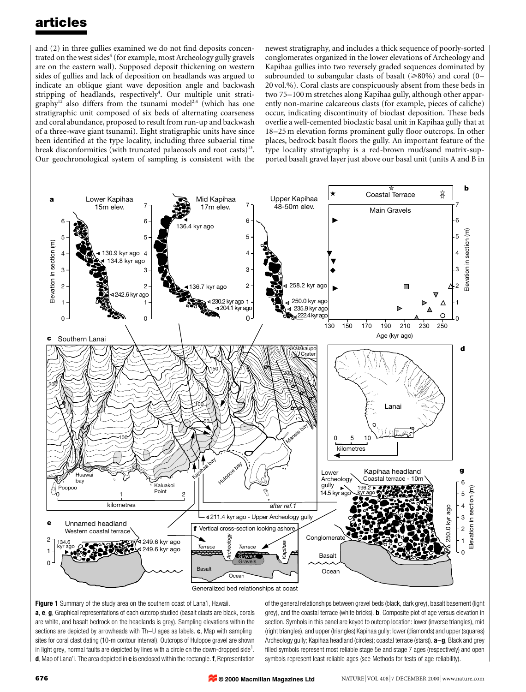and  $(2)$  in three gullies examined we do not find deposits concentrated on the west sides<sup>4</sup> (for example, most Archeology gully gravels are on the eastern wall). Supposed deposit thickening on western sides of gullies and lack of deposition on headlands was argued to indicate an oblique giant wave deposition angle and backwash stripping of headlands, respectively<sup>4</sup>. Our multiple unit stratigraphy<sup>12</sup> also differs from the tsunami model<sup>2,4</sup> (which has one stratigraphic unit composed of six beds of alternating coarseness and coral abundance, proposed to result from run-up and backwash of a three-wave giant tsunami). Eight stratigraphic units have since been identified at the type locality, including three subaerial time break disconformities (with truncated palaeosols and root casts)<sup>13</sup>. Our geochronological system of sampling is consistent with the newest stratigraphy, and includes a thick sequence of poorly-sorted conglomerates organized in the lower elevations of Archeology and Kapihaa gullies into two reversely graded sequences dominated by subrounded to subangular clasts of basalt ( $\geq 80\%$ ) and coral (0-20 vol.%). Coral clasts are conspicuously absent from these beds in two 75–100 m stretches along Kapihaa gully, although other apparently non-marine calcareous clasts (for example, pieces of caliche) occur, indicating discontinuity of bioclast deposition. These beds overlie a well-cemented bioclastic basal unit in Kapihaa gully that at 18–25 m elevation forms prominent gully floor outcrops. In other places, bedrock basalt floors the gully. An important feature of the type locality stratigraphy is a red-brown mud/sand matrix-supported basalt gravel layer just above our basal unit (units A and B in



Figure 1 Summary of the study area on the southern coast of Lana'i, Hawaii. a, e, g, Graphical representations of each outcrop studied (basalt clasts are black, corals are white, and basalt bedrock on the headlands is grey). Sampling elevations within the sections are depicted by arrowheads with  $Th-U$  ages as labels.  $c$ , Map with sampling sites for coral clast dating (10-m contour interval). Outcrops of Hulopoe gravel are shown in light grey, normal faults are depicted by lines with a circle on the down-dropped side<sup>1</sup>. d, Map of Lana'i. The area depicted in c is enclosed within the rectangle. f, Representation

of the general relationships between gravel beds (black, dark grey), basalt basement (light grey), and the coastal terrace (white bricks). **b**, Composite plot of age versus elevation in section. Symbols in this panel are keyed to outcrop location: lower (inverse triangles), mid (right triangles), and upper (triangles) Kapihaa gully; lower (diamonds) and upper (squares) Archeology gully; Kapihaa headland (circles); coastal terrace (stars)).  $a-g$ , Black and grey filled symbols represent most reliable stage 5e and stage 7 ages (respectively) and open symbols represent least reliable ages (see Methods for tests of age reliability).

**© 2000 Macmillan Magazines Ltd**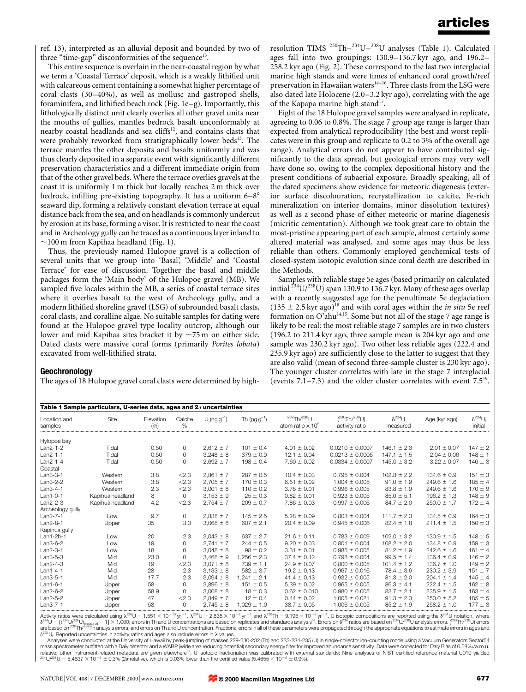ref. 13), interpreted as an alluvial deposit and bounded by two of three "time-gap" disconformities of the sequence $13$ .

This entire sequence is overlain in the near-coastal region by what we term a 'Coastal Terrace' deposit, which is a weakly lithified unit with calcareous cement containing a somewhat higher percentage of coral clasts  $(30-40\%)$ , as well as mollusc and gastropod shells, foraminifera, and lithified beach rock (Fig.  $1e-g$ ). Importantly, this lithologically distinct unit clearly overlies all other gravel units near the mouths of gullies, mantles bedrock basalt unconformably at nearby coastal headlands and sea cliffs $12$ , and contains clasts that were probably reworked from stratigraphically lower beds<sup>13</sup>. The terrace mantles the other deposits and basalts uniformly and was thus clearly deposited in a separate event with significantly different preservation characteristics and a different immediate origin from that of the other gravel beds. Where the terrace overlies gravels at the coast it is uniformly 1 m thick but locally reaches 2 m thick over bedrock, infilling pre-existing topography. It has a uniform  $6-8^\circ$ seaward dip, forming a relatively constant elevation terrace at equal distance back from the sea, and on headlands is commonly undercut by erosion at its base, forming a visor. It is restricted to near the coast and in Archeology gully can be traced as a continuous layer inland to  $\sim$ 100 m from Kapihaa headland (Fig. 1).

Thus, the previously named Hulopoe gravel is a collection of several units that we group into `Basal', `Middle' and `Coastal Terrace' for ease of discussion. Together the basal and middle packages form the `Main body' of the Hulopoe gravel (MB). We sampled five locales within the MB, a series of coastal terrace sites where it overlies basalt to the west of Archeology gully, and a modern lithified shoreline gravel (LSG) of subrounded basalt clasts, coral clasts, and coralline algae. No suitable samples for dating were found at the Hulopoe gravel type locality outcrop, although our lower and mid Kapihaa sites bracket it by  $\sim$ 75 m on either side. Dated clasts were massive coral forms (primarily Porites lobata) excavated from well-lithified strata.

resolution TIMS<sup>230</sup>Th<sup>-234</sup>U<sup>-238</sup>U analyses (Table 1). Calculated ages fall into two groupings: 130.9-136.7 kyr ago, and 196.2-258.2 kyr ago (Fig. 2). These correspond to the last two interglacial marine high stands and were times of enhanced coral growth/reef preservation in Hawaiian waters $14-16$ . Three clasts from the LSG were also dated late Holocene  $(2.0-3.2 \text{ kyr ago})$ , correlating with the age of the Kapapa marine high stand<sup>17</sup>.

Eight of the 18 Hulopoe gravel samples were analysed in replicate, agreeing to 0.06 to 0.8%. The stage 7 group age range is larger than expected from analytical reproducibility (the best and worst replicates were in this group and replicate to 0.2 to 3% of the overall age range). Analytical errors do not appear to have contributed significantly to the data spread, but geological errors may very well have done so, owing to the complex depositional history and the present conditions of subaerial exposure. Broadly speaking, all of the dated specimens show evidence for meteoric diagenesis (exterior surface discolouration, recrystallization to calcite, Fe-rich mineralization on interior domains, minor dissolution textures) as well as a second phase of either meteoric or marine diagenesis (micritic cementation). Although we took great care to obtain the most-pristine appearing part of each sample, almost certainly some altered material was analysed, and some ages may thus be less reliable than others. Commonly employed geochemical tests of closed-system isotopic evolution since coral death are described in the Methods.

Samples with reliable stage 5e ages (based primarily on calculated initial  $^{234}$ U/ $^{238}$ U) span 130.9 to 136.7 kyr. Many of these ages overlap with a recently suggested age for the penultimate 5e deglaciation  $(135 \pm 2.5 \,\text{kyr}$  ago)<sup>18</sup> and with coral ages within the *in situ* 5e reef formation on  $O^{\prime}$ ahu<sup>14,15</sup>. Some but not all of the stage 7 age range is likely to be real: the most reliable stage 7 samples are in two clusters (196.2 to 211.4 kyr ago, three sample mean is 204 kyr ago and one sample was 230.2 kyr ago). Two other less reliable ages (222.4 and 235.9 kyr ago) are sufficiently close to the latter to suggest that they are also valid (mean of second three-sample cluster is 230 kyr ago). The younger cluster correlates with late in the stage 7 interglacial (events  $7.1-7.3$ ) and the older cluster correlates with event  $7.5^{19}$ .

## **Geochronology**

The ages of 18 Hulopoe gravel coral clasts were determined by high-

|                         | Table 1 Sample particulars, U-series data, ages and $2\sigma$ uncertainties |                  |                 |                  |                 |                                                          |                                        |                              |                 |                              |
|-------------------------|-----------------------------------------------------------------------------|------------------|-----------------|------------------|-----------------|----------------------------------------------------------|----------------------------------------|------------------------------|-----------------|------------------------------|
| Location and<br>samples | Site                                                                        | Elevation<br>(m) | Calcite<br>$\%$ | U (ng $g^{-1}$ ) | Th $(pgg^{-1})$ | $232$ Th $/238$ U<br>atom ratio $\times$ 10 <sup>5</sup> | $(^{230}Th/^{238}U)$<br>activity ratio | $\delta^{234}$ U<br>measured | Age (kyr ago)   | $\delta^{234}U_i$<br>initial |
| Hylopoe bay             |                                                                             |                  |                 |                  |                 |                                                          |                                        |                              |                 |                              |
| Lan2-1-2                | Tidal                                                                       | 0.50             | 0               | $2,612 \pm 7$    | $101 \pm 0.4$   | $4.01 \pm 0.02$                                          | $0.0210 \pm 0.0007$                    | $146.1 \pm 2.3$              | $2.01 \pm 0.07$ | $147 \pm 2$                  |
| Lan2-1-1                | Tidal                                                                       | 0.50             | $\Omega$        | $3.248 \pm 8$    | $379 \pm 0.9$   | $12.1 \pm 0.04$                                          | $0.0213 \pm 0.0006$                    | $147.1 \pm 1.5$              | $2.04 \pm 0.06$ | $148 \pm 1$                  |
| Lan2-1-4                | Tidal                                                                       | 0.50             | $\Omega$        | $2.692 \pm 7$    | $198 \pm 0.4$   | $7.60 \pm 0.02$                                          | $0.0334 \pm 0.0007$                    | $145.0 \pm 3.2$              | $3.22 \pm 0.07$ | $146 \pm 3$                  |
| Coastal                 |                                                                             |                  |                 |                  |                 |                                                          |                                        |                              |                 |                              |
| Lan3-3-1                | Western                                                                     | 3.8              | < 2.3           | $2,861 \pm 7$    | $287 \pm 0.5$   | $10.4 \pm 0.03$                                          | $0.795 \pm 0.004$                      | $102.8 \pm 2.2$              | $134.6 \pm 0.9$ | $151 \pm 3$                  |
| Lan3-2-2                | Western                                                                     | 3.8              | < 2.3           | $2.705 \pm 7$    | $170 \pm 0.3$   | $6.51 \pm 0.02$                                          | $1.004 \pm 0.005$                      | $91.0 \pm 1.9$               | $249.6 \pm 1.6$ | $185 \pm 4$                  |
| Lan3-4-1                | Western                                                                     | 2.3              | < 2.3           | $3.001 \pm 8$    | $110 \pm 0.2$   | $3.78 \pm 0.01$                                          | $0.996 \pm 0.005$                      | $83.8 \pm 1.9$               | $249.6 \pm 1.6$ | $170 \pm 9$                  |
| Lan1-0-1                | Kapihua headland                                                            | 8                | 0               | $3,153 \pm 9$    | $25 \pm 0.3$    | $0.82 \pm 0.01$                                          | $0.923 \pm 0.005$                      | $85.0 \pm 5.1$               | $196.2 \pm 1.3$ | $148 \pm 9$                  |
| Lan2-2-3                | Kapihua headland                                                            | 4.2              | < 2.3           | $2.754 \pm 7$    | $209 \pm 0.7$   | $7.86 \pm 0.03$                                          | $0.997 \pm 0.006$                      | $84.7 \pm 2.0$               | $250.0 \pm 1.7$ | $172 \pm 4$                  |
| Archeology gully        |                                                                             |                  |                 |                  |                 |                                                          |                                        |                              |                 |                              |
| Lan2-7-1                | Low                                                                         | 9.7              | 0               | $2.838 \pm 7$    | $145 \pm 2.5$   | $5.28 \pm 0.09$                                          | $0.803 \pm 0.004$                      | $111.7 \pm 2.3$              | $134.5 \pm 0.9$ | $164 \pm 3$                  |
| Lan2-8-1                | Upper                                                                       | 35               | 3.3             | $3.068 \pm 8$    | $607 \pm 2.1$   | $20.4 \pm 0.09$                                          | $0.945 \pm 0.006$                      | $82.4 \pm 1.8$               | $211.4 \pm 1.5$ | $150 \pm 3$                  |
| Kapihua gully           |                                                                             |                  |                 |                  |                 |                                                          |                                        |                              |                 |                              |
| Lan1-2h-1               | Low                                                                         | 20               | 2.3             | $3.043 \pm 8$    | $637 \pm 2.7$   | $21.6 \pm 0.11$                                          | $0.783 \pm 0.009$                      | $102.0 \pm 3.2$              | $130.9 \pm 1.5$ | $148 \pm 5$                  |
| Lan3-6-2                | Low                                                                         | 19               | 0               | $2,741 \pm 7$    | $244 \pm 0.5$   | $9.20 \pm 0.03$                                          | $0.801 \pm 0.004$                      | $108.2 \pm 2.0$              | $134.8 \pm 0.9$ | $159 \pm 3$                  |
| Lan2-3-1                | Low                                                                         | 18               | 0               | $3.048 \pm 8$    | $98 \pm 0.2$    | $3.31 \pm 0.01$                                          | $0.985 \pm 0.005$                      | $81.2 \pm 1.9$               | $242.6 \pm 1.6$ | $161 \pm 4$                  |
| Lan3-5-3                | Mid                                                                         | 23.0             | 0               | $3.468 \pm 9$    | $1.256 \pm 2.3$ | $37.4 \pm 0.12$                                          | $0.798 \pm 0.004$                      | $99.5 \pm 1.4$               | $136.4 \pm 0.9$ | $146 \pm 2$                  |
| Lan2-4-3                | Mid                                                                         | 19               | < 2.3           | $3.071 \pm 8$    | $739 \pm 1.1$   | $24.9 \pm 0.07$                                          | $0.800 \pm 0.005$                      | $101.4 \pm 1.2$              | $136.7 \pm 1.0$ | $149 \pm 2$                  |
| Lan1-4-1                | Mid                                                                         | 28               | 2.3             | $3.133 \pm 8$    | $582 \pm 3.7$   | $19.2 \pm 0.13$                                          | $0.967 \pm 0.016$                      | $78.4 \pm 3.6$               | $230.2 \pm 3.9$ | $151 \pm 7$                  |
| Lan3-5-1                | Mid                                                                         | 17.7             | 2.3             | $3.094 \pm 8$    | $1.241 \pm 2.1$ | $41.4 \pm 0.13$                                          | $0.932 \pm 0.005$                      | $81.3 \pm 2.0$               | $204.1 \pm 1.4$ | $145 \pm 4$                  |
| Lan1-6-1                | Upper                                                                       | 58               | $\Omega$        | $2.896 \pm 8$    | $151 \pm 0.5$   | $5.39 \pm 0.02$                                          | $0.965 \pm 0.005$                      | $86.3 \pm 4.1$               | $222.4 \pm 1.5$ | $162 \pm 8$                  |
| Lan2-6-2                | Upper                                                                       | 58.9             | 0               | $3,008 \pm 8$    | $18 \pm 0.3$    | $0.62 \pm 0.010$                                         | $0.980 \pm 0.005$                      | $83.7 \pm 2.1$               | $235.9 \pm 1.5$ | $163 \pm 4$                  |
| Lan2-5-2                | Upper                                                                       | 47               | < 2.3           | $2.849 \pm 7$    | $12 \pm 0.4$    | $0.44 \pm 0.02$                                          | $1.005 \pm 0.021$                      | $91.3 \pm 2.3$               | $250.0 \pm 5.2$ | $185 \pm 5$                  |
| Lan3-7-1                | Upper                                                                       | 58               | $\Omega$        | $2.745 \pm 8$    | $1.029 \pm 1.0$ | $38.7 \pm 0.05$                                          | $1.006 \pm 0.005$                      | $85.2 \pm 1.9$               | $258.2 \pm 1.0$ | $177 \pm 3$                  |

Lan3-7-1 Upper 58 0 2,745 <sup>6</sup> 8 1,029 <sup>6</sup> 1.0 38.7 <sup>6</sup> 0.05 1.006 <sup>6</sup> 0.005 85.2 <sup>6</sup> 1.9 258.2 <sup>6</sup> 1.0 177 <sup>6</sup> <sup>3</sup> ................................................................................................................................................................................................................................................................................................................................................................... Activity ratios were calculated using l238U 1:551 3 10 <sup>2</sup> <sup>10</sup> yr <sup>2</sup> <sup>1</sup> , l234U 2:835 3 10 <sup>2</sup> <sup>6</sup> yr <sup>2</sup> <sup>1</sup> and l230Th 9:195 3 10 <sup>2</sup> <sup>6</sup> yr <sup>2</sup> <sup>1</sup> . U isotopic compositions are reported using the d 234U notation, where d234U 234U= 238Umeasured 2 1 3 1;000; errors in Th and U concentrations are based on replicates and standards analysis32. Errors on d <sup>234</sup> ratios are based on 234U/238U analysis errors. (230Th/238U) errors are based on 230Th/232Th analysis errors, and errors on Th and U concentration. Fractional errors in all of these parameters were propagated through the appropriate equations to estimate errors in ages and  $\delta^{234}$ U<sub>i</sub>. Reported uncertainties in activity ratios and ages also include errors in  $\lambda$  values.

Analyses were conducted at the University of Hawaii by peak-jumping of masses 229-230-232 (Th) and 233-234-235 (U) in single-collector ion-counting mode using a Vacuum Generators Sector54 mass spectrometer outfitted with a Daly detector and a WARP (wide area reducing potential) secondary energy filter for improved abundance sensitivity. Data were corrected for Daly Bias of 0.58‰/a.m.u.<br>relative; other instr <sup>234</sup>U/<sup>238</sup>U = 5.4637  $\times$  10<sup>-5</sup>  $\pm$  0.3% (2 $\sigma$  relative), which is 0.03% lower than the certified value (5.4655  $\times$  10<sup>-5</sup>  $\pm$  0.9%).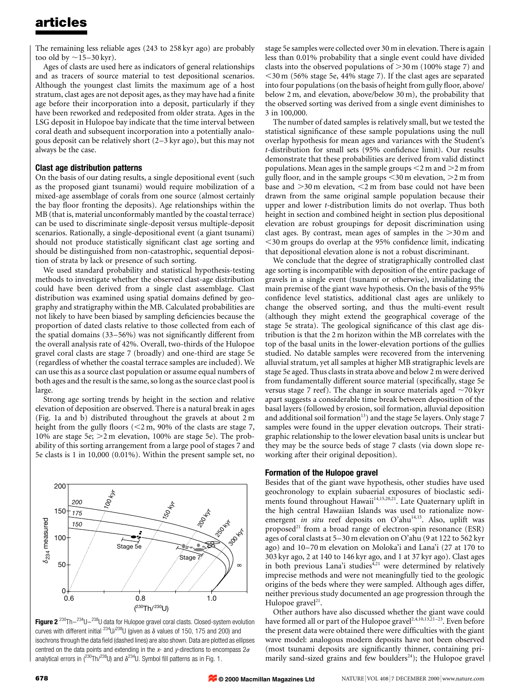The remaining less reliable ages (243 to 258 kyr ago) are probably too old by  $\sim$ 15–30 kyr).

Ages of clasts are used here as indicators of general relationships and as tracers of source material to test depositional scenarios. Although the youngest clast limits the maximum age of a host stratum, clast ages are not deposit ages, as they may have had a finite age before their incorporation into a deposit, particularly if they have been reworked and redeposited from older strata. Ages in the LSG deposit in Hulopoe bay indicate that the time interval between coral death and subsequent incorporation into a potentially analogous deposit can be relatively short  $(2-3 \text{ kyr ago})$ , but this may not always be the case.

## Clast age distribution patterns

On the basis of our dating results, a single depositional event (such as the proposed giant tsunami) would require mobilization of a mixed-age assemblage of corals from one source (almost certainly the bay floor fronting the deposits). Age relationships within the MB (that is, material unconformably mantled by the coastal terrace) can be used to discriminate single-deposit versus multiple-deposit scenarios. Rationally, a single-depositional event (a giant tsunami) should not produce statistically significant clast age sorting and should be distinguished from non-catastrophic, sequential deposition of strata by lack or presence of such sorting.

We used standard probability and statistical hypothesis-testing methods to investigate whether the observed clast-age distribution could have been derived from a single clast assemblage. Clast distribution was examined using spatial domains defined by geography and stratigraphy within the MB. Calculated probabilities are not likely to have been biased by sampling deficiencies because the proportion of dated clasts relative to those collected from each of the spatial domains  $(33–56%)$  was not significantly different from the overall analysis rate of 42%. Overall, two-thirds of the Hulopoe gravel coral clasts are stage 7 (broadly) and one-third are stage 5e (regardless of whether the coastal terrace samples are included). We can use this as a source clast population or assume equal numbers of both ages and the result is the same, so long as the source clast pool is large.

Strong age sorting trends by height in the section and relative elevation of deposition are observed. There is a natural break in ages (Fig. 1a and b) distributed throughout the gravels at about 2 m height from the gully floors ( $<$ 2 m, 90% of the clasts are stage 7, 10% are stage 5e;  $>2$  m elevation, 100% are stage 5e). The probability of this sorting arrangement from a large pool of stages 7 and 5e clasts is 1 in 10,000 (0.01%). Within the present sample set, no



Figure 2 $2^{230}$ Th $234$ U $238$ U data for Hulopoe gravel coral clasts. Closed-system evolution curves with different initial  $^{234}$ U/ $^{238}$ U (given as  $\delta$  values of 150, 175 and 200) and isochrons through the data field (dashed lines) are also shown. Data are plotted as ellipses centred on the data points and extending in the x- and y-directions to encompass  $2\sigma$ analytical errors in  $(^{230}Th/^{238}U)$  and  $\delta^{234}U$ . Symbol fill patterns as in Fig. 1.

stage 5e samples were collected over 30 m in elevation. There is again less than 0.01% probability that a single event could have divided clasts into the observed populations of  $>$ 30 m (100% stage 7) and  $<$ 30 m (56% stage 5e, 44% stage 7). If the clast ages are separated into four populations (on the basis of height from gully floor, above/ below 2 m, and elevation, above/below 30 m), the probability that the observed sorting was derived from a single event diminishes to 3 in 100,000.

The number of dated samples is relatively small, but we tested the statistical significance of these sample populations using the null overlap hypothesis for mean ages and variances with the Student's  $t$ -distribution for small sets (95% confidence limit). Our results demonstrate that these probabilities are derived from valid distinct populations. Mean ages in the sample groups  $\leq$  2 m and  $\geq$  2 m from gully floor, and in the sample groups  $\leq$ 30 m elevation,  $\geq$ 2 m from base and  $>30$  m elevation,  $<$ 2 m from base could not have been drawn from the same original sample population because their upper and lower t-distribution limits do not overlap. Thus both height in section and combined height in section plus depositional elevation are robust groupings for deposit discrimination using clast ages. By contrast, mean ages of samples in the  $>30 \text{ m}$  and  $<$ 30 m groups do overlap at the 95% confidence limit, indicating that depositional elevation alone is not a robust discriminant.

We conclude that the degree of stratigraphically controlled clast age sorting is incompatible with deposition of the entire package of gravels in a single event (tsunami or otherwise), invalidating the main premise of the giant wave hypothesis. On the basis of the 95% confidence level statistics, additional clast ages are unlikely to change the observed sorting, and thus the multi-event result (although they might extend the geographical coverage of the stage 5e strata). The geological significance of this clast age distribution is that the 2 m horizon within the MB correlates with the top of the basal units in the lower-elevation portions of the gullies studied. No datable samples were recovered from the intervening alluvial stratum, yet all samples at higher MB stratigraphic levels are stage 5e aged. Thus clasts in strata above and below 2 m were derived from fundamentally different source material (specifically, stage 5e versus stage 7 reef). The change in source materials aged  $\sim$ 70 kyr apart suggests a considerable time break between deposition of the basal layers (followed by erosion, soil formation, alluvial deposition and additional soil formation<sup>13</sup>) and the stage 5e layers. Only stage 7 samples were found in the upper elevation outcrops. Their stratigraphic relationship to the lower elevation basal units is unclear but they may be the source beds of stage 7 clasts (via down slope reworking after their original deposition).

#### Formation of the Hulopoe gravel

Besides that of the giant wave hypothesis, other studies have used geochronology to explain subaerial exposures of bioclastic sediments found throughout Hawaii<sup>14,15,20,21</sup>. Late Quaternary uplift in the high central Hawaiian Islands was used to rationalize nowemergent in situ reef deposits on O'ahu<sup>14,15</sup>. Also, uplift was proposed $21$  from a broad range of electron-spin resonance (ESR) ages of coral clasts at 5-30 m elevation on O'ahu (9 at 122 to 562 kyr ago) and 10-70 m elevation on Moloka'i and Lana'i (27 at 170 to 303 kyr ago, 2 at 140 to 146 kyr ago, and 1 at 37 kyr ago). Clast ages in both previous Lana'i studies<sup>4,21</sup> were determined by relatively imprecise methods and were not meaningfully tied to the geologic origins of the beds where they were sampled. Although ages differ, neither previous study documented an age progression through the Hulopoe gravel<sup>21</sup>.

Other authors have also discussed whether the giant wave could have formed all or part of the Hulopoe gravel<sup>2,4,10,13,21-23</sup>. Even before the present data were obtained there were difficulties with the giant wave model: analogous modern deposits have not been observed (most tsunami deposits are significantly thinner, containing primarily sand-sized grains and few boulders $24$ ); the Hulopoe gravel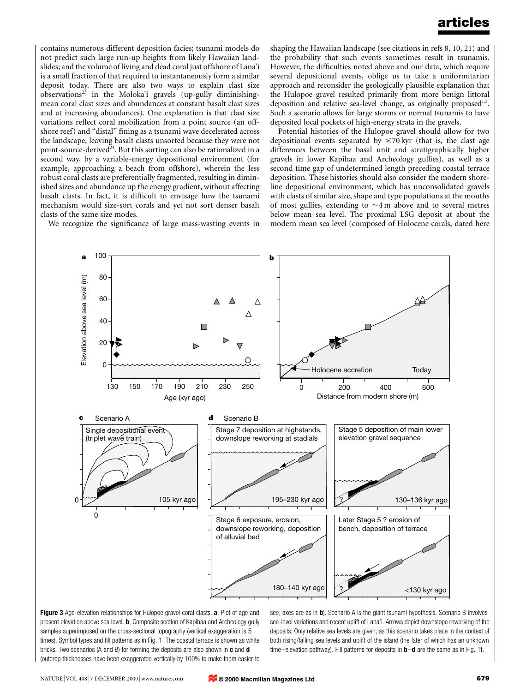contains numerous different deposition facies; tsunami models do not predict such large run-up heights from likely Hawaiian landslides; and the volume of living and dead coral just offshore of Lana'i is a small fraction of that required to instantaneously form a similar deposit today. There are also two ways to explain clast size  $observation<sup>23</sup>$  in the Moloka'i gravels (up-gully diminishingmean coral clast sizes and abundances at constant basalt clast sizes and at increasing abundances). One explanation is that clast size variations reflect coral mobilization from a point source (an offshore reef) and "distal" fining as a tsunami wave decelerated across the landscape, leaving basalt clasts unsorted because they were not point-source-derived<sup>23</sup>. But this sorting can also be rationalized in a second way, by a variable-energy depositional environment (for example, approaching a beach from offshore), wherein the less robust coral clasts are preferentially fragmented, resulting in diminished sizes and abundance up the energy gradient, without affecting basalt clasts. In fact, it is difficult to envisage how the tsunami mechanism would size-sort corals and yet not sort denser basalt clasts of the same size modes.

We recognize the significance of large mass-wasting events in

shaping the Hawaiian landscape (see citations in refs 8, 10, 21) and the probability that such events sometimes result in tsunamis. However, the difficulties noted above and our data, which require several depositional events, oblige us to take a uniformitarian approach and reconsider the geologically plausible explanation that the Hulopoe gravel resulted primarily from more benign littoral deposition and relative sea-level change, as originally proposed<sup>1,3</sup>. Such a scenario allows for large storms or normal tsunamis to have deposited local pockets of high-energy strata in the gravels.

Potential histories of the Hulopoe gravel should allow for two depositional events separated by  $\leq 70 \,\text{kyr}$  (that is, the clast age differences between the basal unit and stratigraphically higher gravels in lower Kapihaa and Archeology gullies), as well as a second time gap of undetermined length preceding coastal terrace deposition. These histories should also consider the modern shoreline depositional environment, which has unconsolidated gravels with clasts of similar size, shape and type populations at the mouths of most gullies, extending to  $\sim$ 4 m above and to several metres below mean sea level. The proximal LSG deposit at about the modern mean sea level (composed of Holocene corals, dated here



Figure 3 Age-elevation relationships for Hulopoe gravel coral clasts. a, Plot of age and present elevation above sea level. **b**, Composite section of Kapihaa and Archeology gully samples superimposed on the cross-sectional topography (vertical exaggeration is 5 times). Symbol types and fill patterns as in Fig. 1. The coastal terrace is shown as white bricks. Two scenarios (A and B) for forming the deposits are also shown in  $c$  and  $d$ (outcrop thicknesses have been exaggerated vertically by 100% to make them easier to

see; axes are as in b). Scenario A is the giant tsunami hypothesis. Scenario B involves sea-level variations and recent uplift of Lana'i. Arrows depict downslope reworking of the deposits. Only relative sea levels are given, as this scenario takes place in the context of both rising/falling sea levels and uplift of the island (the later of which has an unknown time-elevation pathway). Fill patterns for deposits in  $\mathbf{b}-\mathbf{d}$  are the same as in Fig. 1f.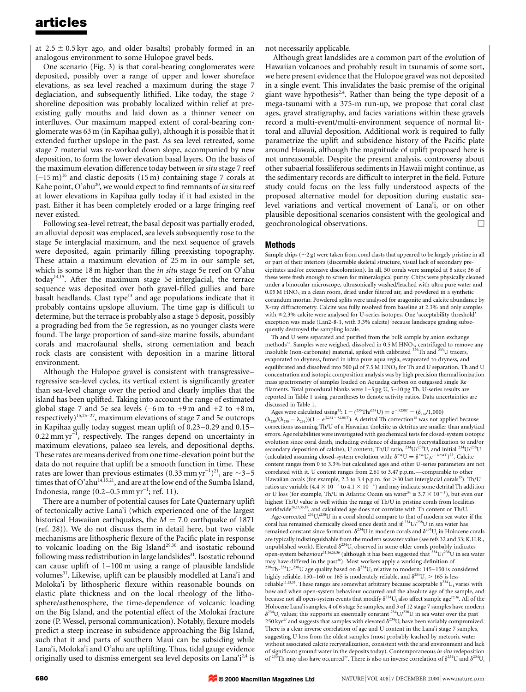at  $2.5 \pm 0.5$  kyr ago, and older basalts) probably formed in an analogous environment to some Hulopoe gravel beds.

One scenario (Fig. 3) is that coral-bearing conglomerates were deposited, possibly over a range of upper and lower shoreface elevations, as sea level reached a maximum during the stage 7 deglaciation, and subsequently lithified. Like today, the stage 7 shoreline deposition was probably localized within relief at preexisting gully mouths and laid down as a thinner veneer on interfluves. Our maximum mapped extent of coral-bearing conglomerate was 63 m (in Kapihaa gully), although it is possible that it extended further upslope in the past. As sea level retreated, some stage 7 material was re-worked down slope, accompanied by new deposition, to form the lower elevation basal layers. On the basis of the maximum elevation difference today between in situ stage 7 reef  $(-15 \text{ m})^{16}$  and clastic deposits  $(15 \text{ m})$  containing stage 7 corals at Kahe point, O'ahu<sup>20</sup>, we would expect to find remnants of in situ reef at lower elevations in Kapihaa gully today if it had existed in the past. Either it has been completely eroded or a large fringing reef never existed.

Following sea-level retreat, the basal deposit was partially eroded, an alluvial deposit was emplaced, sea levels subsequently rose to the stage 5e interglacial maximum, and the next sequence of gravels were deposited, again primarily filling preexisting topography. These attain a maximum elevation of 25 m in our sample set, which is some 18 m higher than the *in situ* stage 5e reef on O'ahu today14,15. After the maximum stage 5e interglacial, the terrace sequence was deposited over both gravel-filled gullies and bare basalt headlands. Clast type<sup>13</sup> and age populations indicate that it probably contains upslope alluvium. The time gap is difficult to determine, but the terrace is probably also a stage 5 deposit, possibly a prograding bed from the 5e regression, as no younger clasts were found. The large proportion of sand-size marine fossils, abundant corals and macrofaunal shells, strong cementation and beach rock clasts are consistent with deposition in a marine littoral environment.

Although the Hulopoe gravel is consistent with transgressiveregressive sea-level cycles, its vertical extent is significantly greater than sea-level change over the period and clearly implies that the island has been uplifted. Taking into account the range of estimated global stage 7 and 5e sea levels  $(-6 \text{ m to } +9 \text{ m and } +2 \text{ to } +8 \text{ m},$ respectively)<sup>15,25-27</sup>, maximum elevations of stage 7 and 5e outcrops in Kapihaa gully today suggest mean uplift of  $0.23-0.29$  and  $0.15 0.22$  mm yr<sup> $^{-1}$ </sup>, respectively. The ranges depend on uncertainty in maximum elevations, palaeo sea levels, and depositional depths. These rates are means derived from one time-elevation point but the data do not require that uplift be a smooth function in time. These rates are lower than previous estimates (0.33 mm yr<sup>-1</sup>)<sup>21</sup>, are  $\sim$ 3-5 times that of O'ahu $^{14,15,21}$ , and are at the low end of the Sumba Island, Indonesia, range  $(0.2-0.5 \text{ mm yr}^{-1}$ ; ref. 11).

There are a number of potential causes for Late Quaternary uplift of tectonically active Lana'i (which experienced one of the largest historical Hawaiian earthquakes, the  $M = 7.0$  earthquake of 1871 (ref. 28)). We do not discuss them in detail here, but two viable mechanisms are lithospheric flexure of the Pacific plate in response to volcanic loading on the Big Island<sup>29,30</sup> and isostatic rebound following mass redistribution in large landslides<sup>31</sup>. Isostatic rebound can cause uplift of  $1-100$  m using a range of plausible landslide volumes<sup>31</sup>. Likewise, uplift can be plausibly modelled at Lana'i and Moloka'i by lithospheric flexure within reasonable bounds on elastic plate thickness and on the local rheology of the lithosphere/asthenosphere, the time-dependence of volcanic loading on the Big Island, and the potential effect of the Molokai fracture zone (P. Wessel, personal communication). Notably, flexure models predict a steep increase in subsidence approaching the Big Island, such that it and parts of southern Maui can be subsiding while Lana'i, Moloka'i and O'ahu are uplifting. Thus, tidal gauge evidence originally used to dismiss emergent sea level deposits on Lana'i<sup>2,4</sup> is

not necessarily applicable.

Although great landslides are a common part of the evolution of Hawaiian volcanoes and probably result in tsunamis of some sort, we here present evidence that the Hulopoe gravel was not deposited in a single event. This invalidates the basic premise of the original giant wave hypothesis<sup>2,4</sup>. Rather than being the type deposit of a mega-tsunami with a 375-m run-up, we propose that coral clast ages, gravel stratigraphy, and facies variations within these gravels record a multi-event/multi-environment sequence of normal littoral and alluvial deposition. Additional work is required to fully parametrize the uplift and subsidence history of the Pacific plate around Hawaii, although the magnitude of uplift proposed here is not unreasonable. Despite the present analysis, controversy about other subaerial fossiliferous sediments in Hawaii might continue, as the sedimentary records are difficult to interpret in the field. Future study could focus on the less fully understood aspects of the proposed alternative model for deposition during eustatic sealevel variations and vertical movement of Lana'i, or on other plausible depositional scenarios consistent with the geological and geochronological observations. M

#### Methods

Sample chips ( $\sim$ 2 g) were taken from coral clasts that appeared to be largely pristine in all or part of their interiors (discernible skeletal structure, visual lack of secondary precipitates and/or extensive discoloration). In all, 50 corals were sampled at 8 sites; 36 of these were fresh enough to screen for mineralogical purity. Chips were physically cleaned under a binocular microscope, ultrasonically washed/leached with ultra pure water and  $0.05$  M HNO<sub>3</sub> in a clean room, dried under filtered air, and powdered in a synthetic corundum mortar. Powdered splits were analysed for aragonite and calcite abundance by X-ray diffractometry. Calcite was fully resolved from baseline at 2.3% and only samples with <2.3% calcite were analysed for U-series isotopes. One `acceptability threshold' exception was made (Lan2-8-1, with 3.3% calcite) because landscape grading subsequently destroyed the sampling locale.

Th and U were separated and purified from the bulk sample by anion exchange methods<sup>32</sup>. Samples were weighed, dissolved in 0.5 M HNO<sub>3</sub>, centrifuged to remove any insoluble (non-carbonate) material, spiked with calibrated 229Th and 233U tracers, evaporated to dryness, fumed in ultra pure aqua regia, evaporated to dryness, and equilibrated and dissolved into 500  $\mu$ l of 7.5 M HNO<sub>3</sub> for Th and U separation. Th and U concentration and isotopic composition analysis was by high precision thermal ionization mass spectrometry of samples loaded on Aquadag carbon on outgassed single Re filaments. Total procedural blanks were  $1-5$  pg U,  $5-10$  pg Th. U-series results are reported in Table 1 using parentheses to denote activity ratios. Data uncertainties are discussed in Table 1.

Ages were calculated using<sup>33</sup>:  $1 - (^{230}Th/^{238}U) = e^{-\lambda 230T} - (\delta_{234}/1,000)$  $(\lambda_{230}/(\lambda_{230} - \lambda_{234}))$  $(1 - e^{(\lambda 234 - \lambda 230)T})$ . A detrital Th correction<sup>15</sup> was not applied because corrections assuming Th/U of a Hawaiian tholeiite as detritus are smaller than analytical errors. Age reliabilities were investigated with geochemical tests for closed-system isotopic evolution since coral death, including evidence of diagenesis (recrystallization to and/or secondary deposition of calcite), U content, Th/U ratio,  $^{234}$ U/ $^{238}$ U, and initial  $^{234}$ U/ $^{238}$ U (calculated assuming closed-system evolution with:  $\delta^{234}U = \delta^{234}U_ie^{-\lambda 234T}$ )<sup>33</sup>. Calcite content ranges from 0 to 3.3% but calculated ages and other U-series parameters are not correlated with it. U content ranges from 2.61 to 3.47 p.p.m.—comparable to other Hawaiian corals (for example, 2.3 to 3.4 p.p.m. for  $>$  30 last interglacial corals<sup>15</sup>). Th/U ratios are variable (4.4  $\times$  10<sup>-6</sup> to 4.1  $\times$  10<sup>-4</sup>) and may indicate some detrital Th addition or U loss (for example, Th/U in Atlantic Ocean sea water<sup>34</sup> is  $3.7 \times 10^{-5}$ ), but even our highest Th/U value is well within the range of Th/U in pristine corals from localities worldwide<sup>26,27,33,35</sup>, and calculated age does not correlate with Th content or Th/U.

Age-corrected 234U/238U in a coral should compare to that of modern sea water if the coral has remained chemically closed since death and if  $^{234}$ U/ $^{238}$ U in sea water has remained constant since formation.  $\delta^{234}U$  in modern corals and  $\delta^{234}U_i$  in Holocene corals are typically indistinguishable from the modern seawater value (see refs 32 and 33; K.H.R., unpublished work). Elevated  $\delta^{234}U_i$  observed in some older corals probably indicates open-system behaviour<sup>11,16,26,36</sup> (although it has been suggested that  $234$ U/ $238$ U in sea water may have differed in the past<sup>36</sup>). Most workers apply a working definition of <sup>230</sup>Th-<sup>234</sup>U-<sup>238</sup>U age quality based on  $\delta^{234}$ U<sub>i</sub> relative to modern: 145–150 is considered highly reliable, 150-160 or 165 is moderately reliable, and  $\delta^{234}U_i > 165$  is less reliable $^{11,15,35}.$  These ranges are somewhat arbitrary because acceptable  $\delta^{234}$ U<sub>i</sub> varies with how and when open-system behaviour occurred and the absolute age of the sample, and because not all open-system events that modify  $\delta^{234}U_i$  also affect sample age<sup>27,36</sup>. All of the Holocene Lana'i samples, 4 of 6 stage 5e samples, and 3 of 12 stage 7 samples have modern  $\delta^{234}$ U<sub>i</sub> values; this supports an essentially constant  $^{234}$ U/<sup>238</sup>U in sea water over the past  $250 \text{ kyr}^{37}$  and suggests that samples with elevated  $\delta^{234}U_i$  have been variably compromized. There is a clear inverse correlation of age and U content in the Lana'i stage 7 samples, suggesting U loss from the oldest samples (most probably leached by meteoric water without associated calcite recrystallization, consistent with the arid environment and lack of significant ground water in the deposits today). Contemporaneous *in situ* redeposition of  $\delta^{234}U_i$  and  $\delta^{234}U_i$  and  $\delta^{234}U_i$